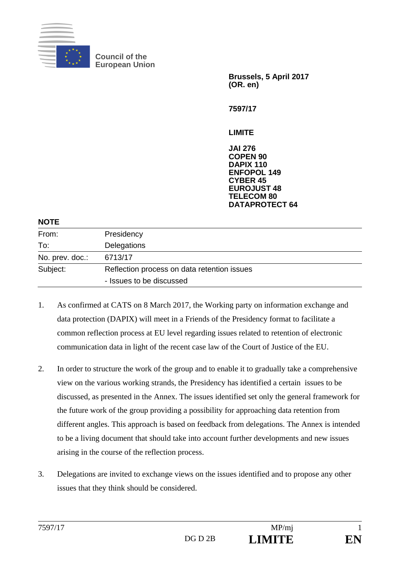

**Council of the European Union**

> **Brussels, 5 April 2017 (OR. en)**

**7597/17**

**LIMITE**

**JAI 276 COPEN 90 DAPIX 110 ENFOPOL 149 CYBER 45 EUROJUST 48 TELECOM 80 DATAPROTECT 64**

#### **NOTE**

| From:           | Presidency                                  |
|-----------------|---------------------------------------------|
| To:             | Delegations                                 |
| No. prev. doc.: | 6713/17                                     |
| Subject:        | Reflection process on data retention issues |
|                 | - Issues to be discussed                    |

- 1. As confirmed at CATS on 8 March 2017, the Working party on information exchange and data protection (DAPIX) will meet in a Friends of the Presidency format to facilitate a common reflection process at EU level regarding issues related to retention of electronic communication data in light of the recent case law of the Court of Justice of the EU.
- 2. In order to structure the work of the group and to enable it to gradually take a comprehensive view on the various working strands, the Presidency has identified a certain issues to be discussed, as presented in the Annex. The issues identified set only the general framework for the future work of the group providing a possibility for approaching data retention from different angles. This approach is based on feedback from delegations. The Annex is intended to be a living document that should take into account further developments and new issues arising in the course of the reflection process.
- 3. Delegations are invited to exchange views on the issues identified and to propose any other issues that they think should be considered.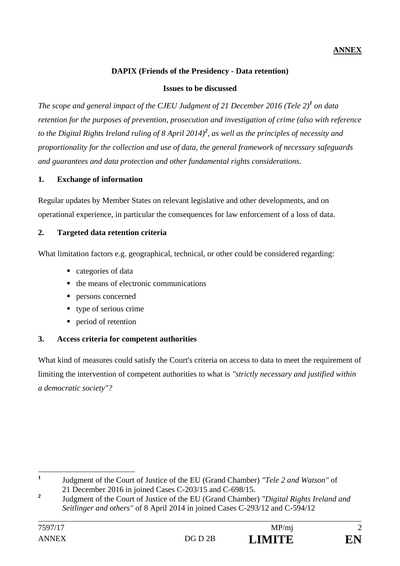# **ANNEX**

# **DAPIX (Friends of the Presidency - Data retention)**

#### **Issues to be discussed**

*The scope and general impact of the CJEU Judgment of 21 December 2016 (Tele 2)<sup>1</sup> on data retention for the purposes of prevention, prosecution and investigation of crime (also with reference to the Digital Rights Ireland ruling of 8 April 2014)<sup>2</sup> , as well as the principles of necessity and proportionality for the collection and use of data, the general framework of necessary safeguards and guarantees and data protection and other fundamental rights considerations.*

### **1. Exchange of information**

Regular updates by Member States on relevant legislative and other developments, and on operational experience, in particular the consequences for law enforcement of a loss of data.

#### **2. Targeted data retention criteria**

What limitation factors e.g. geographical, technical, or other could be considered regarding:

- categories of data
- the means of electronic communications
- persons concerned
- type of serious crime
- **period of retention**

### **3. Access criteria for competent authorities**

What kind of measures could satisfy the Court's criteria on access to data to meet the requirement of limiting the intervention of competent authorities to what is *"strictly necessary and justified within a democratic society"?*



 **1** Judgment of the Court of Justice of the EU (Grand Chamber) *"Tele 2 and Watson"* of 21 December 2016 in joined Cases C-203/15 and C-698/15.

**<sup>2</sup>** Judgment of the Court of Justice of the EU (Grand Chamber) *"Digital Rights Ireland and Seitlinger and others"* of 8 April 2014 in joined Cases C-293/12 and C-594/12